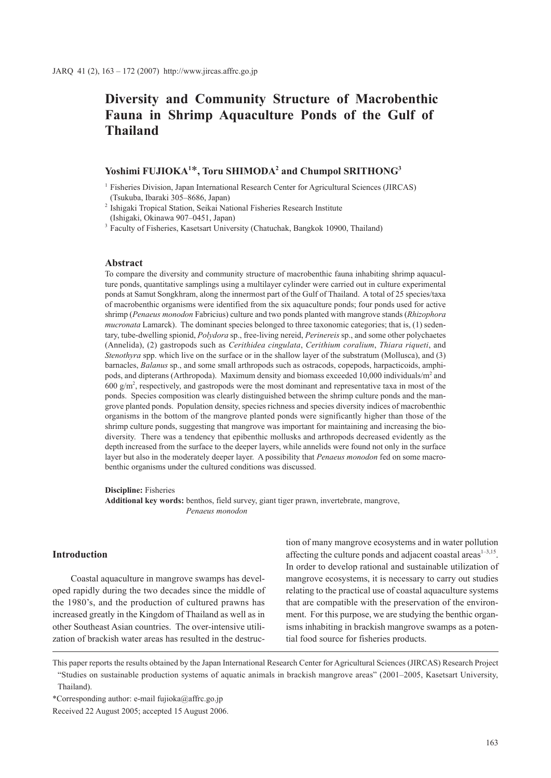# **Diversity and Community Structure of Macrobenthic Fauna in Shrimp Aquaculture Ponds of the Gulf of Thailand**

# **Yoshimi FUJIOKA1** \***, Toru SHIMODA2 and Chumpol SRITHONG3**

<sup>1</sup> Fisheries Division, Japan International Research Center for Agricultural Sciences (JIRCAS) (Tsukuba, Ibaraki 305–8686, Japan)

- <sup>2</sup> Ishigaki Tropical Station, Seikai National Fisheries Research Institute (Ishigaki, Okinawa 907–0451, Japan)
- <sup>3</sup> Faculty of Fisheries, Kasetsart University (Chatuchak, Bangkok 10900, Thailand)

#### **Abstract**

To compare the diversity and community structure of macrobenthic fauna inhabiting shrimp aquaculture ponds, quantitative samplings using a multilayer cylinder were carried out in culture experimental ponds at Samut Songkhram, along the innermost part of the Gulf of Thailand. A total of 25 species/taxa of macrobenthic organisms were identified from the six aquaculture ponds; four ponds used for active shrimp (*Penaeus monodon* Fabricius) culture and two ponds planted with mangrove stands (*Rhizophora mucronata* Lamarck). The dominant species belonged to three taxonomic categories; that is, (1) sedentary, tube-dwelling spionid, *Polydora* sp., free-living nereid, *Perinereis* sp., and some other polychaetes (Annelida), (2) gastropods such as *Cerithidea cingulata*, *Cerithium coralium*, *Thiara riqueti*, and *Stenothyra* spp. which live on the surface or in the shallow layer of the substratum (Mollusca), and (3) barnacles, *Balanus* sp., and some small arthropods such as ostracods, copepods, harpacticoids, amphipods, and dipterans (Arthropoda). Maximum density and biomass exceeded 10,000 individuals/m<sup>2</sup> and 600 g/m2 , respectively, and gastropods were the most dominant and representative taxa in most of the ponds. Species composition was clearly distinguished between the shrimp culture ponds and the mangrove planted ponds. Population density, species richness and species diversity indices of macrobenthic organisms in the bottom of the mangrove planted ponds were significantly higher than those of the shrimp culture ponds, suggesting that mangrove was important for maintaining and increasing the biodiversity. There was a tendency that epibenthic mollusks and arthropods decreased evidently as the depth increased from the surface to the deeper layers, while annelids were found not only in the surface layer but also in the moderately deeper layer. A possibility that *Penaeus monodon* fed on some macrobenthic organisms under the cultured conditions was discussed.

**Discipline:** Fisheries

**Additional key words:** benthos, field survey, giant tiger prawn, invertebrate, mangrove, *Penaeus monodon*

## **Introduction**

Coastal aquaculture in mangrove swamps has developed rapidly during the two decades since the middle of the 1980's, and the production of cultured prawns has increased greatly in the Kingdom of Thailand as well as in other Southeast Asian countries. The over-intensive utilization of brackish water areas has resulted in the destruction of many mangrove ecosystems and in water pollution affecting the culture ponds and adjacent coastal areas $1-3,15$ . In order to develop rational and sustainable utilization of mangrove ecosystems, it is necessary to carry out studies relating to the practical use of coastal aquaculture systems that are compatible with the preservation of the environment. For this purpose, we are studying the benthic organisms inhabiting in brackish mangrove swamps as a potential food source for fisheries products.

This paper reports the results obtained by the Japan International Research Center for Agricultural Sciences (JIRCAS) Research Project "Studies on sustainable production systems of aquatic animals in brackish mangrove areas" (2001–2005, Kasetsart University, Thailand).

\*Corresponding author: e-mail fujioka@affrc.go.jp

Received 22 August 2005; accepted 15 August 2006.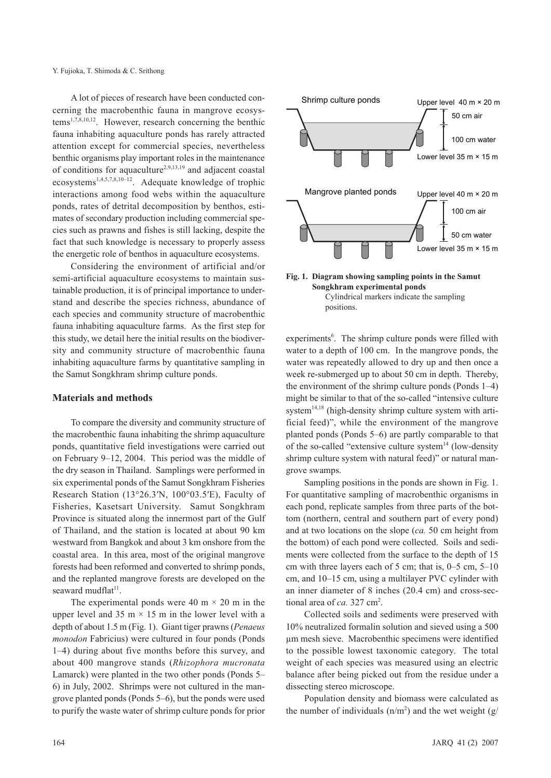Y. Fujioka, T. Shimoda & C. Srithong

A lot of pieces of research have been conducted concerning the macrobenthic fauna in mangrove ecosystems<sup>1,7,8,10,12</sup>. However, research concerning the benthic fauna inhabiting aquaculture ponds has rarely attracted attention except for commercial species, nevertheless benthic organisms play important roles in the maintenance of conditions for aquaculture<sup>2,9,13,19</sup> and adjacent coastal ecosystems<sup>1,4,5,7,8,10–12</sup>. Adequate knowledge of trophic interactions among food webs within the aquaculture ponds, rates of detrital decomposition by benthos, estimates of secondary production including commercial species such as prawns and fishes is still lacking, despite the fact that such knowledge is necessary to properly assess the energetic role of benthos in aquaculture ecosystems.

Considering the environment of artificial and/or semi-artificial aquaculture ecosystems to maintain sustainable production, it is of principal importance to understand and describe the species richness, abundance of each species and community structure of macrobenthic fauna inhabiting aquaculture farms. As the first step for this study, we detail here the initial results on the biodiversity and community structure of macrobenthic fauna inhabiting aquaculture farms by quantitative sampling in the Samut Songkhram shrimp culture ponds.

### **Materials and methods**

To compare the diversity and community structure of the macrobenthic fauna inhabiting the shrimp aquaculture ponds, quantitative field investigations were carried out on February 9–12, 2004. This period was the middle of the dry season in Thailand. Samplings were performed in six experimental ponds of the Samut Songkhram Fisheries Research Station (13°26.3′N, 100°03.5′E), Faculty of Fisheries, Kasetsart University. Samut Songkhram Province is situated along the innermost part of the Gulf of Thailand, and the station is located at about 90 km westward from Bangkok and about 3 km onshore from the coastal area. In this area, most of the original mangrove forests had been reformed and converted to shrimp ponds, and the replanted mangrove forests are developed on the seaward mudflat<sup>11</sup>.

The experimental ponds were 40 m  $\times$  20 m in the upper level and 35 m  $\times$  15 m in the lower level with a depth of about 1.5 m (Fig. 1). Giant tiger prawns (*Penaeus monodon* Fabricius) were cultured in four ponds (Ponds 1–4) during about five months before this survey, and about 400 mangrove stands (*Rhizophora mucronata* Lamarck) were planted in the two other ponds (Ponds 5– 6) in July, 2002. Shrimps were not cultured in the mangrove planted ponds (Ponds 5–6), but the ponds were used to purify the waste water of shrimp culture ponds for prior



**Fig. 1. Diagram showing sampling points in the Samut Songkhram experimental ponds**  Cylindrical markers indicate the sampling positions.

experiments<sup>6</sup>. The shrimp culture ponds were filled with water to a depth of 100 cm. In the mangrove ponds, the water was repeatedly allowed to dry up and then once a week re-submerged up to about 50 cm in depth. Thereby, the environment of the shrimp culture ponds (Ponds 1–4) might be similar to that of the so-called "intensive culture system $14,18$  (high-density shrimp culture system with artificial feed)", while the environment of the mangrove planted ponds (Ponds 5–6) are partly comparable to that of the so-called "extensive culture system $14$  (low-density shrimp culture system with natural feed)" or natural mangrove swamps.

Sampling positions in the ponds are shown in Fig. 1. For quantitative sampling of macrobenthic organisms in each pond, replicate samples from three parts of the bottom (northern, central and southern part of every pond) and at two locations on the slope (*ca.* 50 cm height from the bottom) of each pond were collected. Soils and sediments were collected from the surface to the depth of 15 cm with three layers each of 5 cm; that is, 0–5 cm, 5–10 cm, and 10–15 cm, using a multilayer PVC cylinder with an inner diameter of 8 inches (20.4 cm) and cross-sectional area of *ca*. 327 cm<sup>2</sup>.

Collected soils and sediments were preserved with 10% neutralized formalin solution and sieved using a 500 µm mesh sieve. Macrobenthic specimens were identified to the possible lowest taxonomic category. The total weight of each species was measured using an electric balance after being picked out from the residue under a dissecting stereo microscope.

Population density and biomass were calculated as the number of individuals  $(n/m^2)$  and the wet weight (g)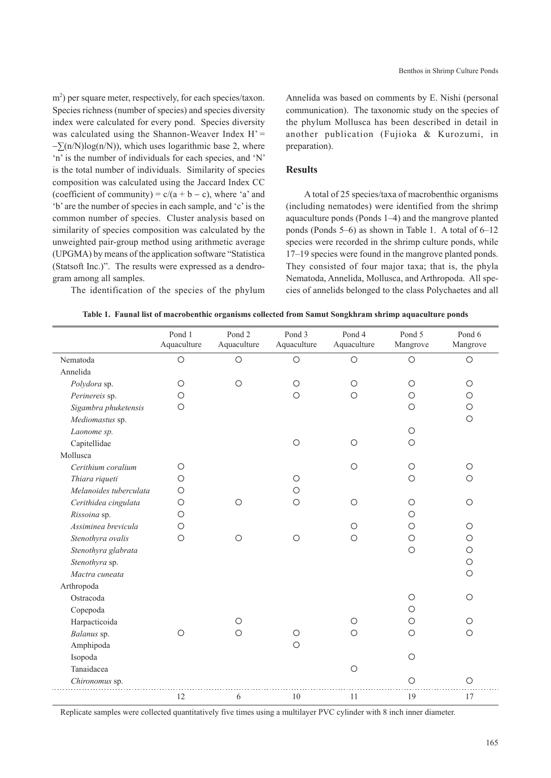m<sup>2</sup>) per square meter, respectively, for each species/taxon. Species richness (number of species) and species diversity index were calculated for every pond. Species diversity was calculated using the Shannon-Weaver Index  $H' =$  $-\sum(n/N)\log(n/N)$ , which uses logarithmic base 2, where 'n' is the number of individuals for each species, and 'N' is the total number of individuals. Similarity of species composition was calculated using the Jaccard Index CC (coefficient of community) =  $c/(a + b - c)$ , where 'a' and 'b' are the number of species in each sample, and 'c' is the common number of species. Cluster analysis based on similarity of species composition was calculated by the unweighted pair-group method using arithmetic average (UPGMA) by means of the application software "Statistica (Statsoft Inc.)". The results were expressed as a dendrogram among all samples.

The identification of the species of the phylum

Annelida was based on comments by E. Nishi (personal communication). The taxonomic study on the species of the phylum Mollusca has been described in detail in another publication (Fujioka & Kurozumi, in preparation).

# **Results**

A total of 25 species/taxa of macrobenthic organisms (including nematodes) were identified from the shrimp aquaculture ponds (Ponds 1–4) and the mangrove planted ponds (Ponds 5–6) as shown in Table 1. A total of 6–12 species were recorded in the shrimp culture ponds, while 17–19 species were found in the mangrove planted ponds. They consisted of four major taxa; that is, the phyla Nematoda, Annelida, Mollusca, and Arthropoda. All species of annelids belonged to the class Polychaetes and all

|  | Table 1. Faunal list of macrobenthic organisms collected from Samut Songkhram shrimp aquaculture ponds |  |  |  |
|--|--------------------------------------------------------------------------------------------------------|--|--|--|
|  |                                                                                                        |  |  |  |
|  |                                                                                                        |  |  |  |

|                        | Pond 1<br>Aquaculture | Pond <sub>2</sub><br>Aquaculture | Pond 3<br>Aquaculture | Pond 4<br>Aquaculture | Pond 5<br>Mangrove | Pond 6<br>Mangrove |
|------------------------|-----------------------|----------------------------------|-----------------------|-----------------------|--------------------|--------------------|
| Nematoda               | $\circ$               | $\bigcirc$                       | $\circ$               | $\circ$               | $\circ$            | $\bigcirc$         |
| Annelida               |                       |                                  |                       |                       |                    |                    |
| Polydora sp.           | O                     | $\circ$                          | $\circ$               | $\circ$               | $\circ$            | O                  |
| Perinereis sp.         | Ω                     |                                  | $\circ$               | $\circ$               | $\circ$            | $\circ$            |
| Sigambra phuketensis   | $\circ$               |                                  |                       |                       | $\circ$            | $\circ$            |
| Mediomastus sp.        |                       |                                  |                       |                       |                    | $\circ$            |
| Laonome sp.            |                       |                                  |                       |                       | Ο                  |                    |
| Capitellidae           |                       |                                  | $\circ$               | $\circ$               | O                  |                    |
| Mollusca               |                       |                                  |                       |                       |                    |                    |
| Cerithium coralium     | O                     |                                  |                       | $\circ$               | O                  | $\bigcirc$         |
| Thiara riqueti         | $\bigcirc$            |                                  | $\circ$               |                       | O                  | ∩                  |
| Melanoides tuberculata | $\circ$               |                                  | $\circ$               |                       |                    |                    |
| Cerithidea cingulata   | $\circ$               | $\bigcirc$                       | $\circ$               | $\bigcirc$            | O                  | $\circ$            |
| Rissoina sp.           | $\circ$               |                                  |                       |                       | O                  |                    |
| Assiminea brevicula    | $\circ$               |                                  |                       | O                     | O                  | $\circ$            |
| Stenothyra ovalis      | $\circ$               | $\circ$                          | $\circ$               | $\circ$               | $\circ$            | $\circ$            |
| Stenothyra glabrata    |                       |                                  |                       |                       | $\circ$            | $\circ$            |
| Stenothyra sp.         |                       |                                  |                       |                       |                    | $\circ$            |
| Mactra cuneata         |                       |                                  |                       |                       |                    | $\circ$            |
| Arthropoda             |                       |                                  |                       |                       |                    |                    |
| Ostracoda              |                       |                                  |                       |                       | $\circ$            | $\bigcirc$         |
| Copepoda               |                       |                                  |                       |                       | O                  |                    |
| Harpacticoida          |                       | O                                |                       | O                     | $\circ$            | Ο                  |
| Balanus sp.            | $\circ$               | $\bigcirc$                       | $\circ$               | $\bigcirc$            | O                  | $\bigcirc$         |
| Amphipoda              |                       |                                  | $\circ$               |                       |                    |                    |
| Isopoda                |                       |                                  |                       |                       | $\circ$            |                    |
| Tanaidacea             |                       |                                  |                       | $\circ$               |                    |                    |
| Chironomus sp.         |                       |                                  |                       |                       | $\circ$            | ∩                  |
|                        | 12                    | 6                                | 10                    | 11                    | 19                 | 17                 |

Replicate samples were collected quantitatively five times using a multilayer PVC cylinder with 8 inch inner diameter.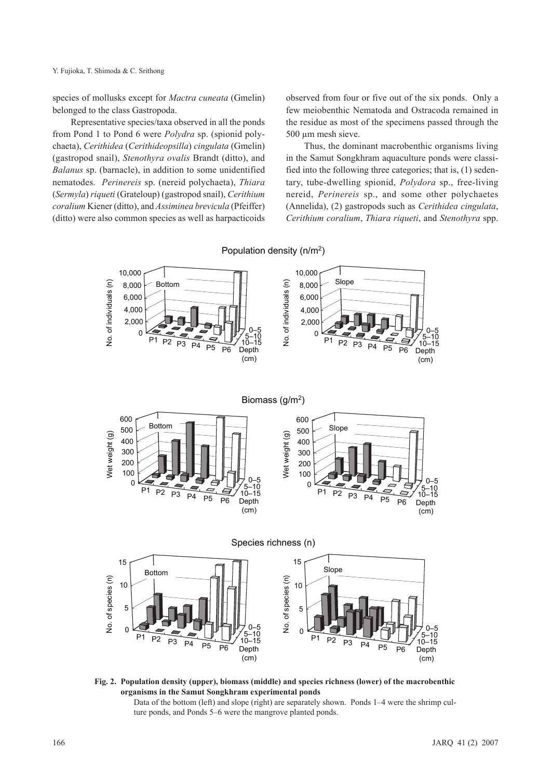species of mollusks except for *Mactra cuneata* (Gmelin) belonged to the class Gastropoda.

Representative species/taxa observed in all the ponds from Pond 1 to Pond 6 were *Polydra* sp. (spionid polychaeta), *Cerithidea* (*Cerithideopsilla*) *cingulata* (Gmelin) (gastropod snail), *Stenothyra ovalis* Brandt (ditto), and *Balanus* sp. (barnacle), in addition to some unidentified nematodes. *Perinereis* sp. (nereid polychaeta), *Thiara* (*Sermyla*) *riqueti* (Grateloup) (gastropod snail), *Cerithium coralium* Kiener (ditto), and *Assiminea brevicula* (Pfeiffer) (ditto) were also common species as well as harpacticoids observed from four or five out of the six ponds. Only a few meiobenthic Nematoda and Ostracoda remained in the residue as most of the specimens passed through the 500 µm mesh sieve.

Thus, the dominant macrobenthic organisms living in the Samut Songkhram aquaculture ponds were classified into the following three categories; that is, (1) sedentary, tube-dwelling spionid, *Polydora* sp., free-living nereid, *Perinereis* sp., and some other polychaetes (Annelida), (2) gastropods such as *Cerithidea cingulata*, *Cerithium coralium*, *Thiara riqueti*, and *Stenothyra* spp.



**Fig. 2. Population density (upper), biomass (middle) and species richness (lower) of the macrobenthic organisms in the Samut Songkhram experimental ponds** 

Data of the bottom (left) and slope (right) are separately shown. Ponds 1–4 were the shrimp culture ponds, and Ponds 5–6 were the mangrove planted ponds.

Population density (n/m2)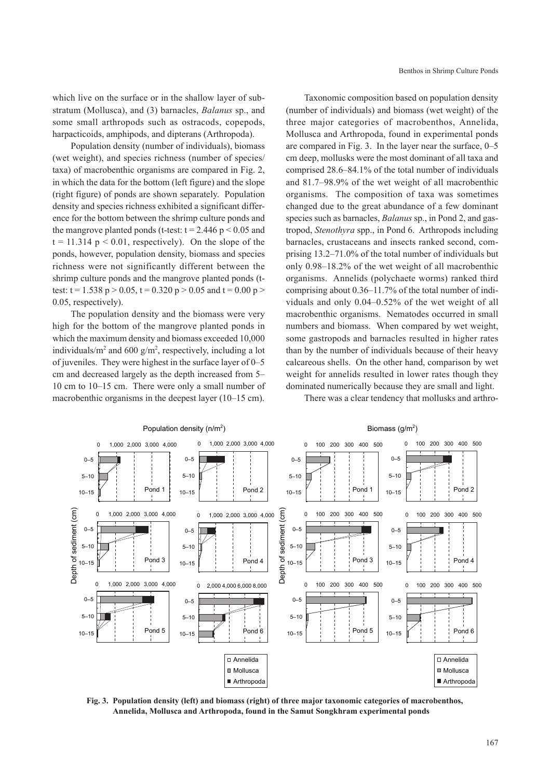which live on the surface or in the shallow layer of substratum (Mollusca), and (3) barnacles, *Balanus* sp., and some small arthropods such as ostracods, copepods, harpacticoids, amphipods, and dipterans (Arthropoda).

Population density (number of individuals), biomass (wet weight), and species richness (number of species/ taxa) of macrobenthic organisms are compared in Fig. 2, in which the data for the bottom (left figure) and the slope (right figure) of ponds are shown separately. Population density and species richness exhibited a significant difference for the bottom between the shrimp culture ponds and the mangrove planted ponds (t-test:  $t = 2.446$  p < 0.05 and  $t = 11.314$  p < 0.01, respectively). On the slope of the ponds, however, population density, biomass and species richness were not significantly different between the shrimp culture ponds and the mangrove planted ponds (ttest:  $t = 1.538$  p > 0.05,  $t = 0.320$  p > 0.05 and  $t = 0.00$  p > 0.05, respectively).

The population density and the biomass were very high for the bottom of the mangrove planted ponds in which the maximum density and biomass exceeded 10,000 individuals/ $m^2$  and 600 g/m<sup>2</sup>, respectively, including a lot of juveniles. They were highest in the surface layer of 0–5 cm and decreased largely as the depth increased from 5– 10 cm to 10–15 cm. There were only a small number of macrobenthic organisms in the deepest layer (10–15 cm).

Taxonomic composition based on population density (number of individuals) and biomass (wet weight) of the three major categories of macrobenthos, Annelida, Mollusca and Arthropoda, found in experimental ponds are compared in Fig. 3. In the layer near the surface, 0–5 cm deep, mollusks were the most dominant of all taxa and comprised 28.6–84.1% of the total number of individuals and 81.7–98.9% of the wet weight of all macrobenthic organisms. The composition of taxa was sometimes changed due to the great abundance of a few dominant species such as barnacles, *Balanus* sp., in Pond 2, and gastropod, *Stenothyra* spp., in Pond 6. Arthropods including barnacles, crustaceans and insects ranked second, comprising 13.2–71.0% of the total number of individuals but only 0.98–18.2% of the wet weight of all macrobenthic organisms. Annelids (polychaete worms) ranked third comprising about 0.36–11.7% of the total number of individuals and only 0.04–0.52% of the wet weight of all macrobenthic organisms. Nematodes occurred in small numbers and biomass. When compared by wet weight, some gastropods and barnacles resulted in higher rates than by the number of individuals because of their heavy calcareous shells. On the other hand, comparison by wet weight for annelids resulted in lower rates though they dominated numerically because they are small and light.

Population density (n/m<sup>2</sup>) Biomass  $(g/m<sup>2</sup>)$ 0 1,000 2,000 3,000 4,000 0 1,000 2,000 3,000 4,000 0 100 200 300 400 500 0 100 200 300 400 500  $0 - 5$  $0 - 5$ 0–5 0–5 5–10 5–10 5–10 5–10 Pond 1  $\begin{array}{|c|c|c|c|c|c|c|c|c|} \hline 1 & 1 & 1 & 1 & 1 \ \hline 1 & 1 & 1 & 1 & 1 \ \hline \end{array}$  Pond 2 Pond 1 |  $10^{-15}$  | | | | | | Pond 2 10–15 10–15 10–15 10–15 Depth of sediment (cm) Depth of sediment (cm) Depth of sediment (cm) 0 1,000 2,000 3,000 4,000 Depth of sediment (cm) 0 100 200 300 400 500 0 1,000 2,000 3,000 4,000 0 100 200 300 400 500  $0 - 5$  $0 - 5$  $0 - 5$  $0 - 5$ 5–10 5–10 5–10  $5 - 10$ Pond 3  $\begin{array}{ccc} 1 & 1 & 1 \end{array}$  Pond 4 Pond 3 Pond 4 10–15 10–15 10–15 10–15 0 1,000 2,000 3,000 4,000 0 100 200 300 400 500 0 100 200 300 400 500 0 2,000 4,000 6,000 8,000 0–5 0–5  $0 - 5$ 0–5 5–10 5–10 5–10 5–10 Pond 5  $\bigcup_{12,45}$  Pond 6 Pond 5  $\bigcup_{10,15}$   $\bigcap$   $\bigcap$  Pond 6  $10 - 15$ 10–15 10–15 10–15 Annelida Annelida Mollusca Mollusca ■ Arthropoda ■ Arthropoda

**Fig. 3. Population density (left) and biomass (right) of three major taxonomic categories of macrobenthos, Annelida, Mollusca and Arthropoda, found in the Samut Songkhram experimental ponds**

There was a clear tendency that mollusks and arthro-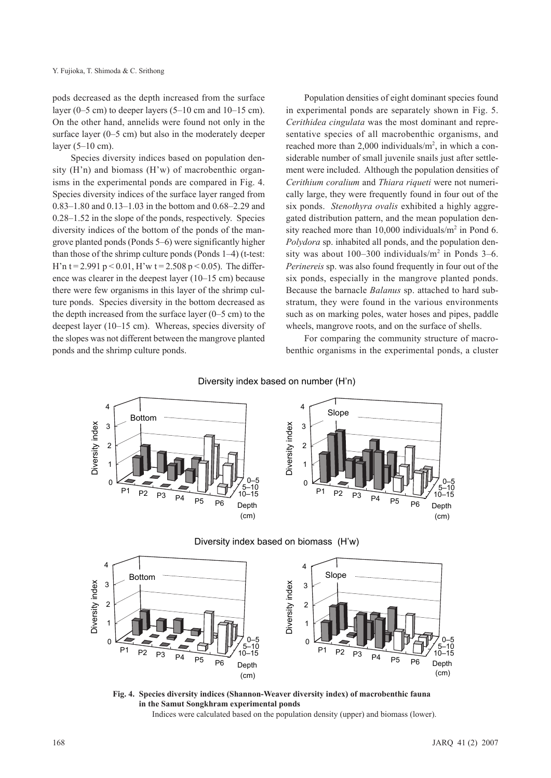pods decreased as the depth increased from the surface layer (0–5 cm) to deeper layers (5–10 cm and 10–15 cm). On the other hand, annelids were found not only in the surface layer (0–5 cm) but also in the moderately deeper layer (5–10 cm).

Species diversity indices based on population density (H'n) and biomass (H'w) of macrobenthic organisms in the experimental ponds are compared in Fig. 4. Species diversity indices of the surface layer ranged from 0.83–1.80 and 0.13–1.03 in the bottom and 0.68–2.29 and 0.28–1.52 in the slope of the ponds, respectively. Species diversity indices of the bottom of the ponds of the mangrove planted ponds (Ponds 5–6) were significantly higher than those of the shrimp culture ponds (Ponds 1–4) (t-test: H'n t = 2.991 p < 0.01, H'w t = 2.508 p < 0.05). The difference was clearer in the deepest layer (10–15 cm) because there were few organisms in this layer of the shrimp culture ponds. Species diversity in the bottom decreased as the depth increased from the surface layer (0–5 cm) to the deepest layer (10–15 cm). Whereas, species diversity of the slopes was not different between the mangrove planted ponds and the shrimp culture ponds.

Population densities of eight dominant species found in experimental ponds are separately shown in Fig. 5. *Cerithidea cingulata* was the most dominant and representative species of all macrobenthic organisms, and reached more than  $2,000$  individuals/m<sup>2</sup>, in which a considerable number of small juvenile snails just after settlement were included. Although the population densities of *Cerithium coralium* and *Thiara riqueti* were not numerically large, they were frequently found in four out of the six ponds. *Stenothyra ovalis* exhibited a highly aggregated distribution pattern, and the mean population density reached more than  $10,000$  individuals/ $m<sup>2</sup>$  in Pond 6. *Polydora* sp. inhabited all ponds, and the population density was about  $100-300$  individuals/ $m<sup>2</sup>$  in Ponds 3-6. *Perinereis* sp. was also found frequently in four out of the six ponds, especially in the mangrove planted ponds. Because the barnacle *Balanus* sp. attached to hard substratum, they were found in the various environments such as on marking poles, water hoses and pipes, paddle wheels, mangrove roots, and on the surface of shells.

For comparing the community structure of macrobenthic organisms in the experimental ponds, a cluster

### Diversity index based on number (H'n)







**Fig. 4. Species diversity indices (Shannon-Weaver diversity index) of macrobenthic fauna in the Samut Songkhram experimental ponds**  Indices were calculated based on the population density (upper) and biomass (lower).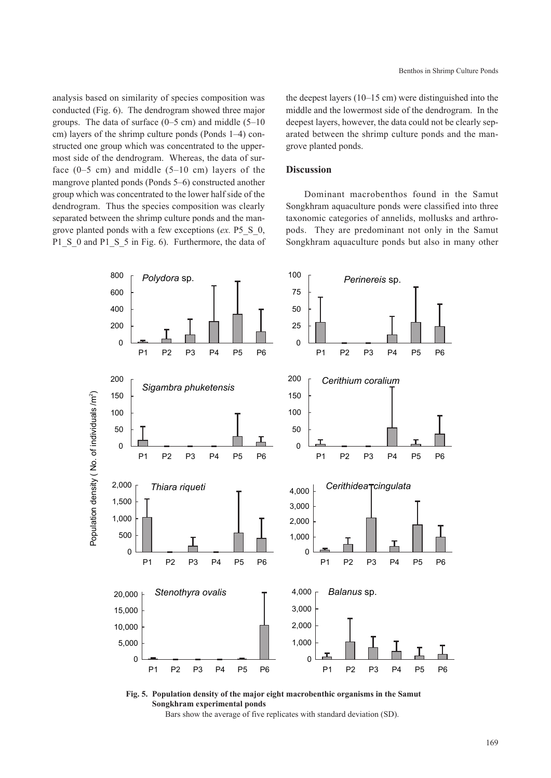analysis based on similarity of species composition was conducted (Fig. 6). The dendrogram showed three major groups. The data of surface  $(0-5 \text{ cm})$  and middle  $(5-10 \text{ cm})$ cm) layers of the shrimp culture ponds (Ponds 1–4) constructed one group which was concentrated to the uppermost side of the dendrogram. Whereas, the data of surface  $(0-5 \text{ cm})$  and middle  $(5-10 \text{ cm})$  layers of the mangrove planted ponds (Ponds 5–6) constructed another group which was concentrated to the lower half side of the dendrogram. Thus the species composition was clearly separated between the shrimp culture ponds and the mangrove planted ponds with a few exceptions (*ex.* P5\_S\_0, P1 S 0 and P1 S 5 in Fig. 6). Furthermore, the data of

the deepest layers (10–15 cm) were distinguished into the middle and the lowermost side of the dendrogram. In the deepest layers, however, the data could not be clearly separated between the shrimp culture ponds and the mangrove planted ponds.

### **Discussion**

Dominant macrobenthos found in the Samut Songkhram aquaculture ponds were classified into three taxonomic categories of annelids, mollusks and arthropods. They are predominant not only in the Samut Songkhram aquaculture ponds but also in many other



**Fig. 5. Population density of the major eight macrobenthic organisms in the Samut Songkhram experimental ponds** 

Bars show the average of five replicates with standard deviation (SD).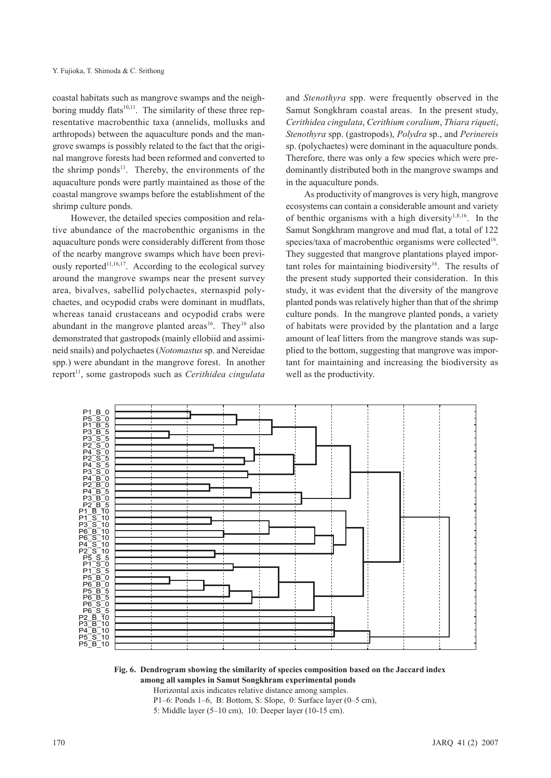coastal habitats such as mangrove swamps and the neighboring muddy flats $10,11$ . The similarity of these three representative macrobenthic taxa (annelids, mollusks and arthropods) between the aquaculture ponds and the mangrove swamps is possibly related to the fact that the original mangrove forests had been reformed and converted to the shrimp ponds $11$ . Thereby, the environments of the aquaculture ponds were partly maintained as those of the coastal mangrove swamps before the establishment of the shrimp culture ponds.

However, the detailed species composition and relative abundance of the macrobenthic organisms in the aquaculture ponds were considerably different from those of the nearby mangrove swamps which have been previously reported<sup>11,16,17</sup>. According to the ecological survey around the mangrove swamps near the present survey area, bivalves, sabellid polychaetes, sternaspid polychaetes, and ocypodid crabs were dominant in mudflats, whereas tanaid crustaceans and ocypodid crabs were abundant in the mangrove planted areas<sup>16</sup>. They<sup>16</sup> also demonstrated that gastropods (mainly ellobiid and assimineid snails) and polychaetes (*Notomastus* sp. and Nereidae spp.) were abundant in the mangrove forest. In another report<sup>11</sup>, some gastropods such as *Cerithidea cingulata* 

and *Stenothyra* spp. were frequently observed in the Samut Songkhram coastal areas. In the present study, *Cerithidea cingulata*, *Cerithium coralium*, *Thiara riqueti*, *Stenothyra* spp. (gastropods), *Polydra* sp., and *Perinereis* sp. (polychaetes) were dominant in the aquaculture ponds. Therefore, there was only a few species which were predominantly distributed both in the mangrove swamps and in the aquaculture ponds.

As productivity of mangroves is very high, mangrove ecosystems can contain a considerable amount and variety of benthic organisms with a high diversity<sup>1,8,16</sup>. In the Samut Songkhram mangrove and mud flat, a total of 122 species/taxa of macrobenthic organisms were collected<sup>16</sup>. They suggested that mangrove plantations played important roles for maintaining biodiversity<sup>16</sup>. The results of the present study supported their consideration. In this study, it was evident that the diversity of the mangrove planted ponds was relatively higher than that of the shrimp culture ponds. In the mangrove planted ponds, a variety of habitats were provided by the plantation and a large amount of leaf litters from the mangrove stands was supplied to the bottom, suggesting that mangrove was important for maintaining and increasing the biodiversity as well as the productivity.



**Fig. 6. Dendrogram showing the similarity of species composition based on the Jaccard index among all samples in Samut Songkhram experimental ponds**

Horizontal axis indicates relative distance among samples.

P1–6: Ponds 1–6, B: Bottom, S: Slope, 0: Surface layer (0–5 cm),

5: Middle layer (5–10 cm), 10: Deeper layer (10-15 cm).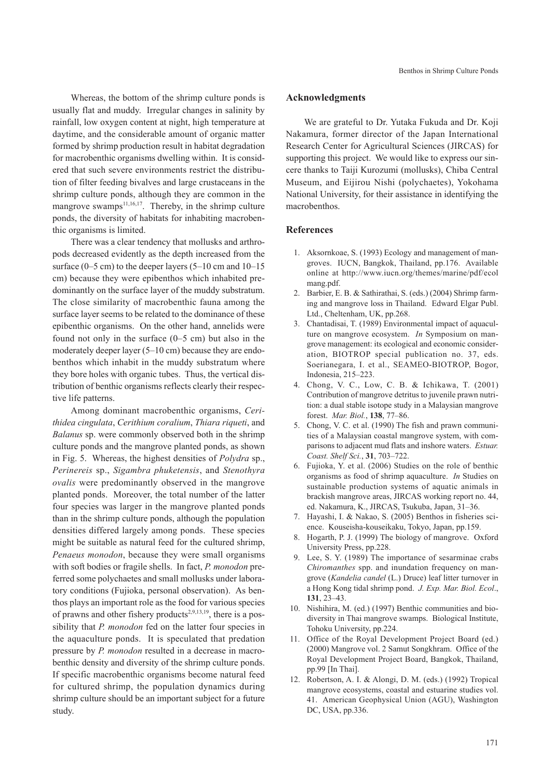Whereas, the bottom of the shrimp culture ponds is usually flat and muddy. Irregular changes in salinity by rainfall, low oxygen content at night, high temperature at daytime, and the considerable amount of organic matter formed by shrimp production result in habitat degradation for macrobenthic organisms dwelling within. It is considered that such severe environments restrict the distribution of filter feeding bivalves and large crustaceans in the shrimp culture ponds, although they are common in the mangrove swamps $11,16,17$ . Thereby, in the shrimp culture ponds, the diversity of habitats for inhabiting macrobenthic organisms is limited.

There was a clear tendency that mollusks and arthropods decreased evidently as the depth increased from the surface (0–5 cm) to the deeper layers (5–10 cm and 10–15 cm) because they were epibenthos which inhabited predominantly on the surface layer of the muddy substratum. The close similarity of macrobenthic fauna among the surface layer seems to be related to the dominance of these epibenthic organisms. On the other hand, annelids were found not only in the surface (0–5 cm) but also in the moderately deeper layer (5–10 cm) because they are endobenthos which inhabit in the muddy substratum where they bore holes with organic tubes. Thus, the vertical distribution of benthic organisms reflects clearly their respective life patterns.

Among dominant macrobenthic organisms, *Cerithidea cingulata*, *Cerithium coralium*, *Thiara riqueti*, and *Balanus* sp. were commonly observed both in the shrimp culture ponds and the mangrove planted ponds, as shown in Fig. 5. Whereas, the highest densities of *Polydra* sp., *Perinereis* sp., *Sigambra phuketensis*, and *Stenothyra ovalis* were predominantly observed in the mangrove planted ponds. Moreover, the total number of the latter four species was larger in the mangrove planted ponds than in the shrimp culture ponds, although the population densities differed largely among ponds. These species might be suitable as natural feed for the cultured shrimp, *Penaeus monodon*, because they were small organisms with soft bodies or fragile shells. In fact, *P. monodon* preferred some polychaetes and small mollusks under laboratory conditions (Fujioka, personal observation). As benthos plays an important role as the food for various species of prawns and other fishery products<sup>2,9,13,19</sup>, there is a possibility that *P. monodon* fed on the latter four species in the aquaculture ponds. It is speculated that predation pressure by *P. monodon* resulted in a decrease in macrobenthic density and diversity of the shrimp culture ponds. If specific macrobenthic organisms become natural feed for cultured shrimp, the population dynamics during shrimp culture should be an important subject for a future study.

### **Acknowledgments**

We are grateful to Dr. Yutaka Fukuda and Dr. Koji Nakamura, former director of the Japan International Research Center for Agricultural Sciences (JIRCAS) for supporting this project. We would like to express our sincere thanks to Taiji Kurozumi (mollusks), Chiba Central Museum, and Eijirou Nishi (polychaetes), Yokohama National University, for their assistance in identifying the macrobenthos.

#### **References**

- 1. Aksornkoae, S. (1993) Ecology and management of mangroves. IUCN, Bangkok, Thailand, pp.176. Available online at http://www.iucn.org/themes/marine/pdf/ecol mang.pdf.
- 2. Barbier, E. B. & Sathirathai, S. (eds.) (2004) Shrimp farming and mangrove loss in Thailand. Edward Elgar Publ. Ltd., Cheltenham, UK, pp.268.
- 3. Chantadisai, T. (1989) Environmental impact of aquaculture on mangrove ecosystem. *In* Symposium on mangrove management: its ecological and economic consideration, BIOTROP special publication no. 37, eds. Soerianegara, I. et al., SEAMEO-BIOTROP, Bogor, Indonesia, 215–223.
- 4. Chong, V. C., Low, C. B. & Ichikawa, T. (2001) Contribution of mangrove detritus to juvenile prawn nutrition: a dual stable isotope study in a Malaysian mangrove forest. *Mar. Biol.*, **138**, 77–86.
- 5. Chong, V. C. et al. (1990) The fish and prawn communities of a Malaysian coastal mangrove system, with comparisons to adjacent mud flats and inshore waters. *Estuar. Coast. Shelf Sci.*, **31**, 703–722.
- 6. Fujioka, Y. et al. (2006) Studies on the role of benthic organisms as food of shrimp aquaculture. *In* Studies on sustainable production systems of aquatic animals in brackish mangrove areas, JIRCAS working report no. 44, ed. Nakamura, K., JIRCAS, Tsukuba, Japan, 31–36.
- 7. Hayashi, I. & Nakao, S. (2005) Benthos in fisheries science. Kouseisha-kouseikaku, Tokyo, Japan, pp.159.
- 8. Hogarth, P. J. (1999) The biology of mangrove. Oxford University Press, pp.228.
- Lee, S. Y. (1989) The importance of sesarminae crabs *Chiromanthes* spp. and inundation frequency on mangrove (*Kandelia candel* (L.) Druce) leaf litter turnover in a Hong Kong tidal shrimp pond. *J. Exp. Mar. Biol. Ecol*., **131**, 23–43.
- 10. Nishihira, M. (ed.) (1997) Benthic communities and biodiversity in Thai mangrove swamps. Biological Institute, Tohoku University, pp.224.
- 11. Office of the Royal Development Project Board (ed.) (2000) Mangrove vol. 2 Samut Songkhram. Office of the Royal Development Project Board, Bangkok, Thailand, pp.99 [In Thai].
- 12. Robertson, A. I. & Alongi, D. M. (eds.) (1992) Tropical mangrove ecosystems, coastal and estuarine studies vol. 41. American Geophysical Union (AGU), Washington DC, USA, pp.336.